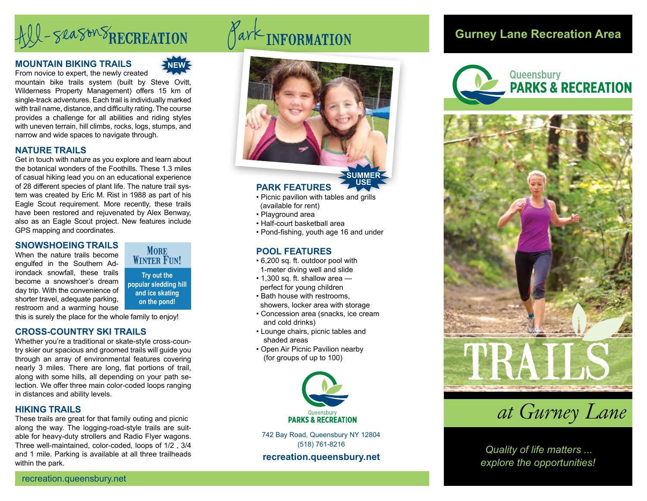# All-season SRECREATION

### **MOUNTAIN BIKING TRAILS**



From novice to expert, the newly created mountain bike trails system (built by Steve Ovitt, Wilderness Property Management) offers 15 km of single-track adventures. Each trail is individually marked with trail name, distance, and difficulty rating. The course provides a challenge for all abilities and riding styles with uneven terrain, hill climbs, rocks, logs, stumps, and narrow and wide spaces to navigate through.

# **NATURE TRAILS**

Get in touch with nature as you explore and learn about the botanical wonders of the Foothills. These 1.3 miles of casual hiking lead you on an educational experience of 28 different species of plant life. The nature trail system was created by Eric M. Rist in 1988 as part of his Eagle Scout requirement. More recently, these trails have been restored and rejuvenated by Alex Benway, also as an Eagle Scout project. New features include GPS mapping and coordinates.

### **SNOWSHOEING TRAILS**

When the nature trails become engulfed in the Southern Adirondack snowfall, these trails become a snowshoer's dream day trip. With the convenience of shorter travel, adequate parking, restroom and a warming house



**Try out the popular sledding hill and ice skating on the pond!**

this is surely the place for the whole family to enjoy!

# **CROSS-COUNTRY SKI TRAILS**

Whether you're a traditional or skate-style cross-country skier our spacious and groomed trails will guide you through an array of environmental features covering nearly 3 miles. There are long, flat portions of trail, along with some hills, all depending on your path selection. We offer three main color-coded loops ranging in distances and ability levels.

# **HIKING TRAILS**

These trails are great for that family outing and picnic along the way. The logging-road-style trails are suitable for heavy-duty strollers and Radio Flyer wagons. Three well-maintained, color-coded, loops of 1/2 , 3/4 and 1 mile. Parking is available at all three trailheads within the park.



# **PARK FEATURES**

• Picnic pavilion with tables and grills

**USE**

- (available for rent)
- Playground area
- Half-court basketball area
- Pond-fishing, youth age 16 and under

### **POOL FEATURES**

- 6,200 sq. ft. outdoor pool with 1-meter diving well and slide
- 1,300 sq. ft. shallow area perfect for young children
- Bath house with restrooms, showers, locker area with storage
- Concession area (snacks, ice cream and cold drinks)
- Lounge chairs, picnic tables and shaded areas
- Open Air Picnic Pavilion nearby (for groups of up to 100)



742 Bay Road, Queensbury NY 12804 (518) 761-8216

**recreation.queensbury.net**

# **Gurney Lane Recreation Area**





*at Gurney Lane*

*Quality of life matters ... explore the opportunities!*